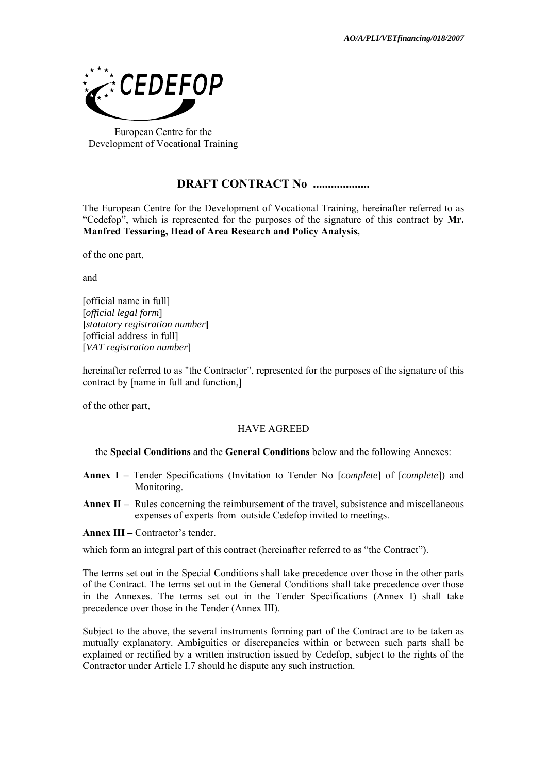

European Centre for the Development of Vocational Training

# **DRAFT CONTRACT No ...................**

The European Centre for the Development of Vocational Training, hereinafter referred to as "Cedefop", which is represented for the purposes of the signature of this contract by **Mr. Manfred Tessaring, Head of Area Research and Policy Analysis,** 

of the one part,

and

[official name in full] [*official legal form*] **[***statutory registration number***]**  [official address in full] [*VAT registration number*]

hereinafter referred to as "the Contractor", represented for the purposes of the signature of this contract by [name in full and function,]

of the other part,

# HAVE AGREED

the **Special Conditions** and the **General Conditions** below and the following Annexes:

- **Annex I** Tender Specifications (Invitation to Tender No [*complete*] of [*complete*]) and Monitoring.
- **Annex II** Rules concerning the reimbursement of the travel, subsistence and miscellaneous expenses of experts from outside Cedefop invited to meetings.

**Annex III –** Contractor's tender.

which form an integral part of this contract (hereinafter referred to as "the Contract").

The terms set out in the Special Conditions shall take precedence over those in the other parts of the Contract. The terms set out in the General Conditions shall take precedence over those in the Annexes. The terms set out in the Tender Specifications (Annex I) shall take precedence over those in the Tender (Annex IΙI).

Subject to the above, the several instruments forming part of the Contract are to be taken as mutually explanatory. Ambiguities or discrepancies within or between such parts shall be explained or rectified by a written instruction issued by Cedefop, subject to the rights of the Contractor under Article I.7 should he dispute any such instruction.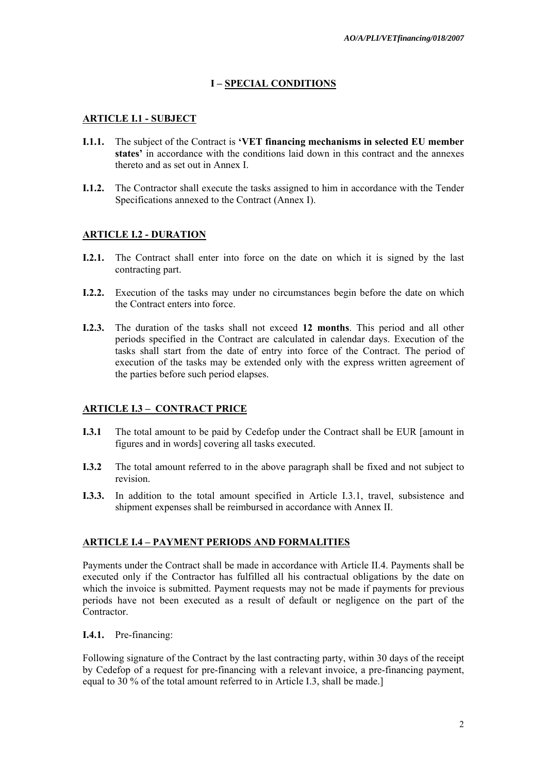# **I – SPECIAL CONDITIONS**

# **ARTICLE I.1 - SUBJECT**

- **I.1.1.** The subject of the Contract is **'VET financing mechanisms in selected EU member states'** in accordance with the conditions laid down in this contract and the annexes thereto and as set out in Annex I.
- **I.1.2.** The Contractor shall execute the tasks assigned to him in accordance with the Tender Specifications annexed to the Contract (Annex I).

# **ARTICLE I.2 - DURATION**

- **I.2.1.** The Contract shall enter into force on the date on which it is signed by the last contracting part.
- **I.2.2.** Execution of the tasks may under no circumstances begin before the date on which the Contract enters into force.
- **I.2.3.** The duration of the tasks shall not exceed **12 months**. This period and all other periods specified in the Contract are calculated in calendar days. Execution of the tasks shall start from the date of entry into force of the Contract. The period of execution of the tasks may be extended only with the express written agreement of the parties before such period elapses.

# **ARTICLE I.3 – CONTRACT PRICE**

- **I.3.1** The total amount to be paid by Cedefop under the Contract shall be EUR [amount in figures and in words] covering all tasks executed.
- **I.3.2** The total amount referred to in the above paragraph shall be fixed and not subject to revision.
- **I.3.3.** In addition to the total amount specified in Article I.3.1, travel, subsistence and shipment expenses shall be reimbursed in accordance with Annex II.

# **ARTICLE I.4 – PAYMENT PERIODS AND FORMALITIES**

Payments under the Contract shall be made in accordance with Article II.4. Payments shall be executed only if the Contractor has fulfilled all his contractual obligations by the date on which the invoice is submitted. Payment requests may not be made if payments for previous periods have not been executed as a result of default or negligence on the part of the **Contractor** 

# **I.4.1.** Pre-financing:

Following signature of the Contract by the last contracting party, within 30 days of the receipt by Cedefop of a request for pre-financing with a relevant invoice, a pre-financing payment, equal to 30 % of the total amount referred to in Article I.3, shall be made.]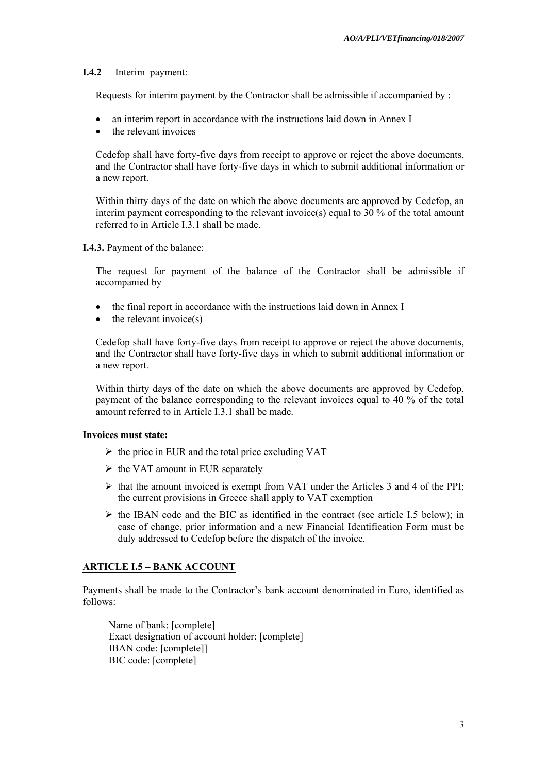#### **I.4.2** Interim payment:

Requests for interim payment by the Contractor shall be admissible if accompanied by :

- an interim report in accordance with the instructions laid down in Annex I
- the relevant invoices

Cedefop shall have forty-five days from receipt to approve or reject the above documents, and the Contractor shall have forty-five days in which to submit additional information or a new report.

Within thirty days of the date on which the above documents are approved by Cedefop, an interim payment corresponding to the relevant invoice(s) equal to 30 % of the total amount referred to in Article I.3.1 shall be made.

**I.4.3.** Payment of the balance:

The request for payment of the balance of the Contractor shall be admissible if accompanied by

- the final report in accordance with the instructions laid down in Annex I
- $\bullet$  the relevant invoice(s)

Cedefop shall have forty-five days from receipt to approve or reject the above documents, and the Contractor shall have forty-five days in which to submit additional information or a new report.

Within thirty days of the date on which the above documents are approved by Cedefop, payment of the balance corresponding to the relevant invoices equal to 40 % of the total amount referred to in Article I.3.1 shall be made.

#### **Invoices must state:**

- $\triangleright$  the price in EUR and the total price excluding VAT
- $\triangleright$  the VAT amount in EUR separately
- $\triangleright$  that the amount invoiced is exempt from VAT under the Articles 3 and 4 of the PPI; the current provisions in Greece shall apply to VAT exemption
- $\triangleright$  the IBAN code and the BIC as identified in the contract (see article I.5 below); in case of change, prior information and a new Financial Identification Form must be duly addressed to Cedefop before the dispatch of the invoice.

## **ARTICLE I.5 – BANK ACCOUNT**

Payments shall be made to the Contractor's bank account denominated in Euro, identified as follows:

Name of bank: [complete] Exact designation of account holder: [complete] IBAN code: [complete]] BIC code: [complete]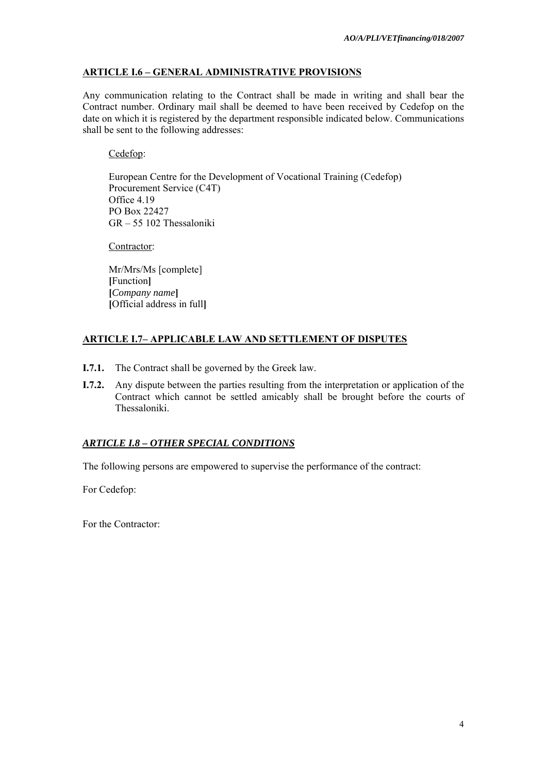# **ARTICLE I.6 – GENERAL ADMINISTRATIVE PROVISIONS**

Any communication relating to the Contract shall be made in writing and shall bear the Contract number. Ordinary mail shall be deemed to have been received by Cedefop on the date on which it is registered by the department responsible indicated below. Communications shall be sent to the following addresses:

# Cedefop:

European Centre for the Development of Vocational Training (Cedefop) Procurement Service (C4T) Office 4.19 PO Box 22427 GR – 55 102 Thessaloniki

Contractor:

Mr/Mrs/Ms [complete] **[**Function**] [***Company name***] [**Official address in full**]**

# **ARTICLE I.7– APPLICABLE LAW AND SETTLEMENT OF DISPUTES**

- **I.7.1.** The Contract shall be governed by the Greek law.
- **I.7.2.** Any dispute between the parties resulting from the interpretation or application of the Contract which cannot be settled amicably shall be brought before the courts of Thessaloniki.

# *ARTICLE I.8 – OTHER SPECIAL CONDITIONS*

The following persons are empowered to supervise the performance of the contract:

For Cedefop:

For the Contractor: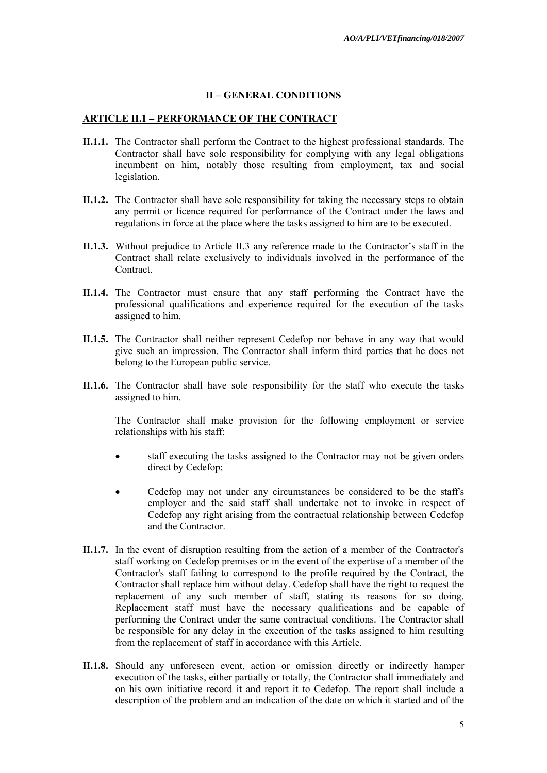## **II – GENERAL CONDITIONS**

#### **ARTICLE II.1 – PERFORMANCE OF THE CONTRACT**

- **II.1.1.** The Contractor shall perform the Contract to the highest professional standards. The Contractor shall have sole responsibility for complying with any legal obligations incumbent on him, notably those resulting from employment, tax and social legislation.
- **II.1.2.** The Contractor shall have sole responsibility for taking the necessary steps to obtain any permit or licence required for performance of the Contract under the laws and regulations in force at the place where the tasks assigned to him are to be executed.
- **II.1.3.** Without prejudice to Article II.3 any reference made to the Contractor's staff in the Contract shall relate exclusively to individuals involved in the performance of the **Contract**
- **II.1.4.** The Contractor must ensure that any staff performing the Contract have the professional qualifications and experience required for the execution of the tasks assigned to him.
- **II.1.5.** The Contractor shall neither represent Cedefop nor behave in any way that would give such an impression. The Contractor shall inform third parties that he does not belong to the European public service.
- **II.1.6.** The Contractor shall have sole responsibility for the staff who execute the tasks assigned to him.

The Contractor shall make provision for the following employment or service relationships with his staff:

- staff executing the tasks assigned to the Contractor may not be given orders direct by Cedefop;
- Cedefop may not under any circumstances be considered to be the staff's employer and the said staff shall undertake not to invoke in respect of Cedefop any right arising from the contractual relationship between Cedefop and the Contractor.
- **II.1.7.** In the event of disruption resulting from the action of a member of the Contractor's staff working on Cedefop premises or in the event of the expertise of a member of the Contractor's staff failing to correspond to the profile required by the Contract, the Contractor shall replace him without delay. Cedefop shall have the right to request the replacement of any such member of staff, stating its reasons for so doing. Replacement staff must have the necessary qualifications and be capable of performing the Contract under the same contractual conditions. The Contractor shall be responsible for any delay in the execution of the tasks assigned to him resulting from the replacement of staff in accordance with this Article.
- **II.1.8.** Should any unforeseen event, action or omission directly or indirectly hamper execution of the tasks, either partially or totally, the Contractor shall immediately and on his own initiative record it and report it to Cedefop. The report shall include a description of the problem and an indication of the date on which it started and of the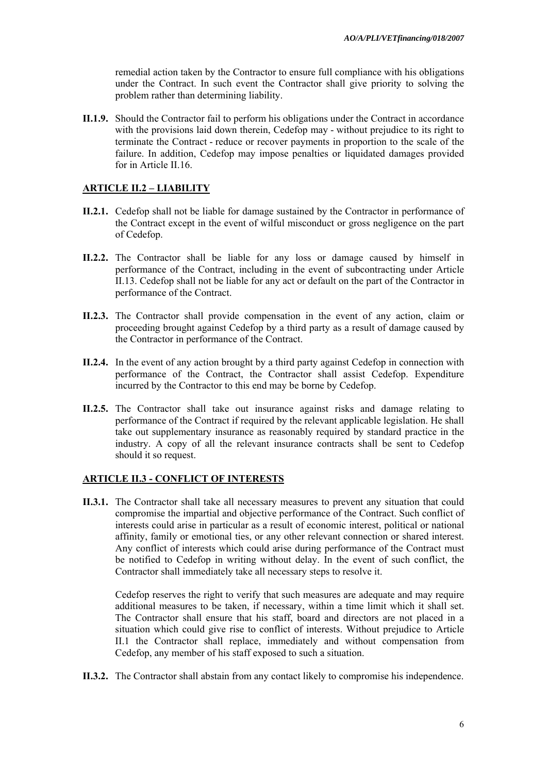remedial action taken by the Contractor to ensure full compliance with his obligations under the Contract. In such event the Contractor shall give priority to solving the problem rather than determining liability.

**II.1.9.** Should the Contractor fail to perform his obligations under the Contract in accordance with the provisions laid down therein, Cedefop may - without prejudice to its right to terminate the Contract - reduce or recover payments in proportion to the scale of the failure. In addition, Cedefop may impose penalties or liquidated damages provided for in Article II.16.

## **ARTICLE II.2 – LIABILITY**

- **II.2.1.** Cedefop shall not be liable for damage sustained by the Contractor in performance of the Contract except in the event of wilful misconduct or gross negligence on the part of Cedefop.
- **II.2.2.** The Contractor shall be liable for any loss or damage caused by himself in performance of the Contract, including in the event of subcontracting under Article II.13. Cedefop shall not be liable for any act or default on the part of the Contractor in performance of the Contract.
- **II.2.3.** The Contractor shall provide compensation in the event of any action, claim or proceeding brought against Cedefop by a third party as a result of damage caused by the Contractor in performance of the Contract.
- **II.2.4.** In the event of any action brought by a third party against Cedefop in connection with performance of the Contract, the Contractor shall assist Cedefop. Expenditure incurred by the Contractor to this end may be borne by Cedefop.
- **II.2.5.** The Contractor shall take out insurance against risks and damage relating to performance of the Contract if required by the relevant applicable legislation. He shall take out supplementary insurance as reasonably required by standard practice in the industry. A copy of all the relevant insurance contracts shall be sent to Cedefop should it so request.

## **ARTICLE II.3 - CONFLICT OF INTERESTS**

**II.3.1.** The Contractor shall take all necessary measures to prevent any situation that could compromise the impartial and objective performance of the Contract. Such conflict of interests could arise in particular as a result of economic interest, political or national affinity, family or emotional ties, or any other relevant connection or shared interest. Any conflict of interests which could arise during performance of the Contract must be notified to Cedefop in writing without delay. In the event of such conflict, the Contractor shall immediately take all necessary steps to resolve it.

 Cedefop reserves the right to verify that such measures are adequate and may require additional measures to be taken, if necessary, within a time limit which it shall set. The Contractor shall ensure that his staff, board and directors are not placed in a situation which could give rise to conflict of interests. Without prejudice to Article II.1 the Contractor shall replace, immediately and without compensation from Cedefop, any member of his staff exposed to such a situation.

**II.3.2.** The Contractor shall abstain from any contact likely to compromise his independence.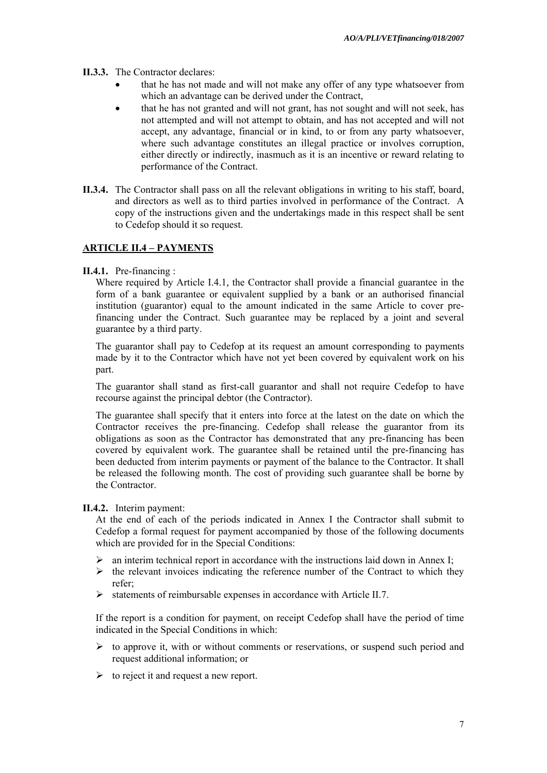- **II.3.3.** The Contractor declares:
	- that he has not made and will not make any offer of any type whatsoever from which an advantage can be derived under the Contract,
	- that he has not granted and will not grant, has not sought and will not seek, has not attempted and will not attempt to obtain, and has not accepted and will not accept, any advantage, financial or in kind, to or from any party whatsoever, where such advantage constitutes an illegal practice or involves corruption, either directly or indirectly, inasmuch as it is an incentive or reward relating to performance of the Contract.
- **II.3.4.** The Contractor shall pass on all the relevant obligations in writing to his staff, board, and directors as well as to third parties involved in performance of the Contract. A copy of the instructions given and the undertakings made in this respect shall be sent to Cedefop should it so request.

## **ARTICLE II.4 – PAYMENTS**

**II.4.1.** Pre-financing :

Where required by Article I.4.1*,* the Contractor shall provide a financial guarantee in the form of a bank guarantee or equivalent supplied by a bank or an authorised financial institution (guarantor) equal to the amount indicated in the same Article to cover prefinancing under the Contract. Such guarantee may be replaced by a joint and several guarantee by a third party.

The guarantor shall pay to Cedefop at its request an amount corresponding to payments made by it to the Contractor which have not yet been covered by equivalent work on his part.

The guarantor shall stand as first-call guarantor and shall not require Cedefop to have recourse against the principal debtor (the Contractor).

The guarantee shall specify that it enters into force at the latest on the date on which the Contractor receives the pre-financing. Cedefop shall release the guarantor from its obligations as soon as the Contractor has demonstrated that any pre-financing has been covered by equivalent work. The guarantee shall be retained until the pre-financing has been deducted from interim payments or payment of the balance to the Contractor. It shall be released the following month. The cost of providing such guarantee shall be borne by the Contractor.

#### **II.4.2.** Interim payment:

At the end of each of the periods indicated in Annex I the Contractor shall submit to Cedefop a formal request for payment accompanied by those of the following documents which are provided for in the Special Conditions:

- $\triangleright$  an interim technical report in accordance with the instructions laid down in Annex I;
- $\triangleright$  the relevant invoices indicating the reference number of the Contract to which they refer;
- $\triangleright$  statements of reimbursable expenses in accordance with Article II.7.

If the report is a condition for payment, on receipt Cedefop shall have the period of time indicated in the Special Conditions in which:

- $\triangleright$  to approve it, with or without comments or reservations, or suspend such period and request additional information; or
- $\triangleright$  to reject it and request a new report.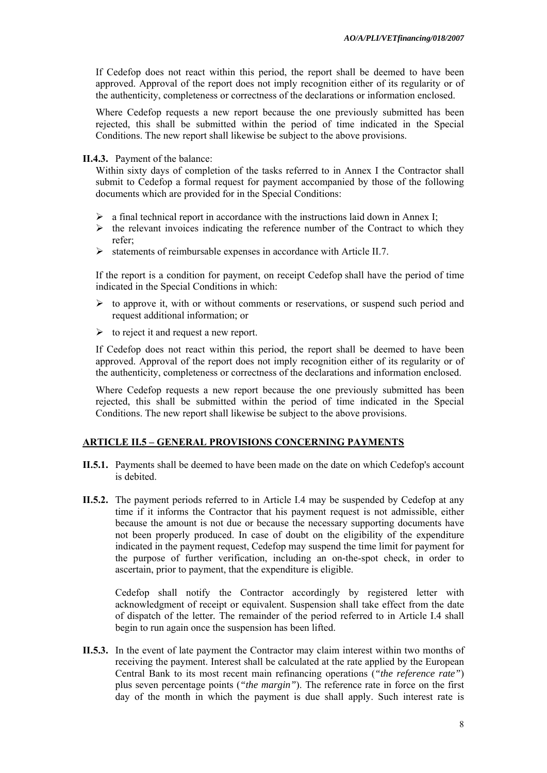If Cedefop does not react within this period, the report shall be deemed to have been approved. Approval of the report does not imply recognition either of its regularity or of the authenticity, completeness or correctness of the declarations or information enclosed.

Where Cedefop requests a new report because the one previously submitted has been rejected, this shall be submitted within the period of time indicated in the Special Conditions. The new report shall likewise be subject to the above provisions.

#### **II.4.3.** Payment of the balance:

Within sixty days of completion of the tasks referred to in Annex I the Contractor shall submit to Cedefop a formal request for payment accompanied by those of the following documents which are provided for in the Special Conditions:

- $\triangleright$  a final technical report in accordance with the instructions laid down in Annex I;
- $\triangleright$  the relevant invoices indicating the reference number of the Contract to which they refer;
- $\triangleright$  statements of reimbursable expenses in accordance with Article II.7.

If the report is a condition for payment, on receipt Cedefop shall have the period of time indicated in the Special Conditions in which:

- $\triangleright$  to approve it, with or without comments or reservations, or suspend such period and request additional information; or
- $\triangleright$  to reject it and request a new report.

If Cedefop does not react within this period, the report shall be deemed to have been approved. Approval of the report does not imply recognition either of its regularity or of the authenticity, completeness or correctness of the declarations and information enclosed.

Where Cedefop requests a new report because the one previously submitted has been rejected, this shall be submitted within the period of time indicated in the Special Conditions. The new report shall likewise be subject to the above provisions.

## **ARTICLE II.5 – GENERAL PROVISIONS CONCERNING PAYMENTS**

- **II.5.1.** Payments shall be deemed to have been made on the date on which Cedefop's account is debited.
- **II.5.2.** The payment periods referred to in Article I.4 may be suspended by Cedefop at any time if it informs the Contractor that his payment request is not admissible, either because the amount is not due or because the necessary supporting documents have not been properly produced. In case of doubt on the eligibility of the expenditure indicated in the payment request, Cedefop may suspend the time limit for payment for the purpose of further verification, including an on-the-spot check, in order to ascertain, prior to payment, that the expenditure is eligible.

Cedefop shall notify the Contractor accordingly by registered letter with acknowledgment of receipt or equivalent. Suspension shall take effect from the date of dispatch of the letter*.* The remainder of the period referred to in Article I.4 shall begin to run again once the suspension has been lifted.

**II.5.3.** In the event of late payment the Contractor may claim interest within two months of receiving the payment. Interest shall be calculated at the rate applied by the European Central Bank to its most recent main refinancing operations (*"the reference rate"*) plus seven percentage points (*"the margin"*). The reference rate in force on the first day of the month in which the payment is due shall apply. Such interest rate is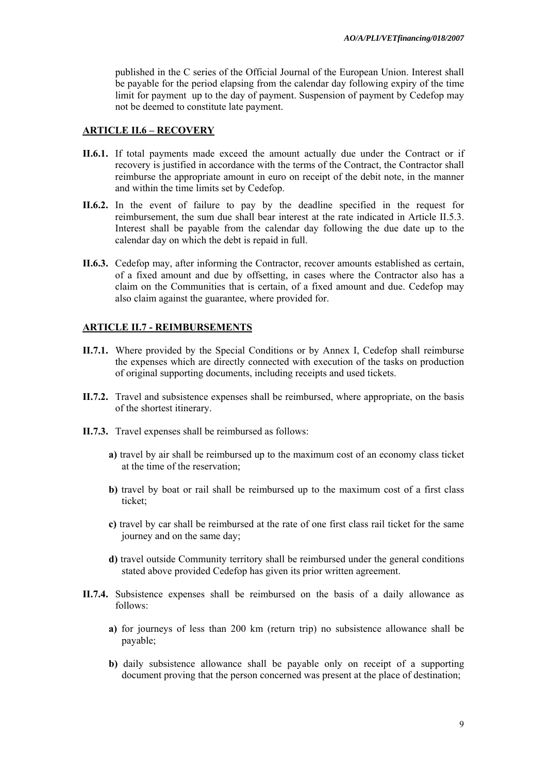published in the C series of the Official Journal of the European Union. Interest shall be payable for the period elapsing from the calendar day following expiry of the time limit for payment up to the day of payment. Suspension of payment by Cedefop may not be deemed to constitute late payment.

#### **ARTICLE II.6 – RECOVERY**

- **II.6.1.** If total payments made exceed the amount actually due under the Contract or if recovery is justified in accordance with the terms of the Contract, the Contractor shall reimburse the appropriate amount in euro on receipt of the debit note, in the manner and within the time limits set by Cedefop.
- **II.6.2.** In the event of failure to pay by the deadline specified in the request for reimbursement, the sum due shall bear interest at the rate indicated in Article II.5.3. Interest shall be payable from the calendar day following the due date up to the calendar day on which the debt is repaid in full.
- **II.6.3.** Cedefop may, after informing the Contractor, recover amounts established as certain, of a fixed amount and due by offsetting, in cases where the Contractor also has a claim on the Communities that is certain, of a fixed amount and due. Cedefop may also claim against the guarantee, where provided for.

## **ARTICLE II.7 - REIMBURSEMENTS**

- **II.7.1.** Where provided by the Special Conditions or by Annex I, Cedefop shall reimburse the expenses which are directly connected with execution of the tasks on production of original supporting documents, including receipts and used tickets.
- **II.7.2.** Travel and subsistence expenses shall be reimbursed, where appropriate, on the basis of the shortest itinerary.
- **II.7.3.** Travel expenses shall be reimbursed as follows:
	- **a)** travel by air shall be reimbursed up to the maximum cost of an economy class ticket at the time of the reservation;
	- **b)** travel by boat or rail shall be reimbursed up to the maximum cost of a first class ticket;
	- **c)** travel by car shall be reimbursed at the rate of one first class rail ticket for the same journey and on the same day;
	- **d)** travel outside Community territory shall be reimbursed under the general conditions stated above provided Cedefop has given its prior written agreement.
- **II.7.4.** Subsistence expenses shall be reimbursed on the basis of a daily allowance as follows:
	- **a)** for journeys of less than 200 km (return trip) no subsistence allowance shall be payable;
	- **b)** daily subsistence allowance shall be payable only on receipt of a supporting document proving that the person concerned was present at the place of destination;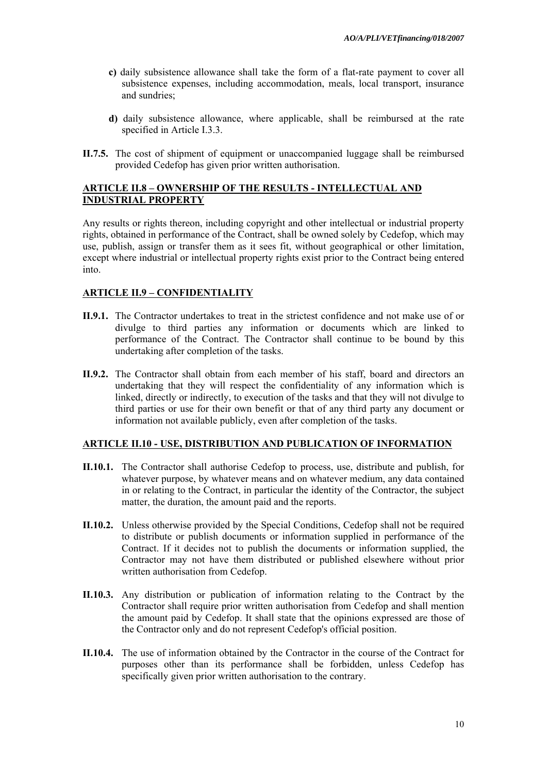- **c)** daily subsistence allowance shall take the form of a flat-rate payment to cover all subsistence expenses, including accommodation, meals, local transport, insurance and sundries;
- **d)** daily subsistence allowance, where applicable, shall be reimbursed at the rate specified in Article I.3.3.
- **II.7.5.** The cost of shipment of equipment or unaccompanied luggage shall be reimbursed provided Cedefop has given prior written authorisation.

## **ARTICLE II.8 – OWNERSHIP OF THE RESULTS - INTELLECTUAL AND INDUSTRIAL PROPERTY**

Any results or rights thereon, including copyright and other intellectual or industrial property rights, obtained in performance of the Contract, shall be owned solely by Cedefop, which may use, publish, assign or transfer them as it sees fit, without geographical or other limitation, except where industrial or intellectual property rights exist prior to the Contract being entered into.

## **ARTICLE II.9 – CONFIDENTIALITY**

- **II.9.1.** The Contractor undertakes to treat in the strictest confidence and not make use of or divulge to third parties any information or documents which are linked to performance of the Contract. The Contractor shall continue to be bound by this undertaking after completion of the tasks.
- **II.9.2.** The Contractor shall obtain from each member of his staff, board and directors an undertaking that they will respect the confidentiality of any information which is linked, directly or indirectly, to execution of the tasks and that they will not divulge to third parties or use for their own benefit or that of any third party any document or information not available publicly, even after completion of the tasks.

## **ARTICLE II.10 - USE, DISTRIBUTION AND PUBLICATION OF INFORMATION**

- **II.10.1.** The Contractor shall authorise Cedefop to process, use, distribute and publish, for whatever purpose, by whatever means and on whatever medium, any data contained in or relating to the Contract, in particular the identity of the Contractor, the subject matter, the duration, the amount paid and the reports.
- **II.10.2.** Unless otherwise provided by the Special Conditions, Cedefop shall not be required to distribute or publish documents or information supplied in performance of the Contract. If it decides not to publish the documents or information supplied, the Contractor may not have them distributed or published elsewhere without prior written authorisation from Cedefop.
- **II.10.3.** Any distribution or publication of information relating to the Contract by the Contractor shall require prior written authorisation from Cedefop and shall mention the amount paid by Cedefop. It shall state that the opinions expressed are those of the Contractor only and do not represent Cedefop's official position.
- **II.10.4.** The use of information obtained by the Contractor in the course of the Contract for purposes other than its performance shall be forbidden, unless Cedefop has specifically given prior written authorisation to the contrary.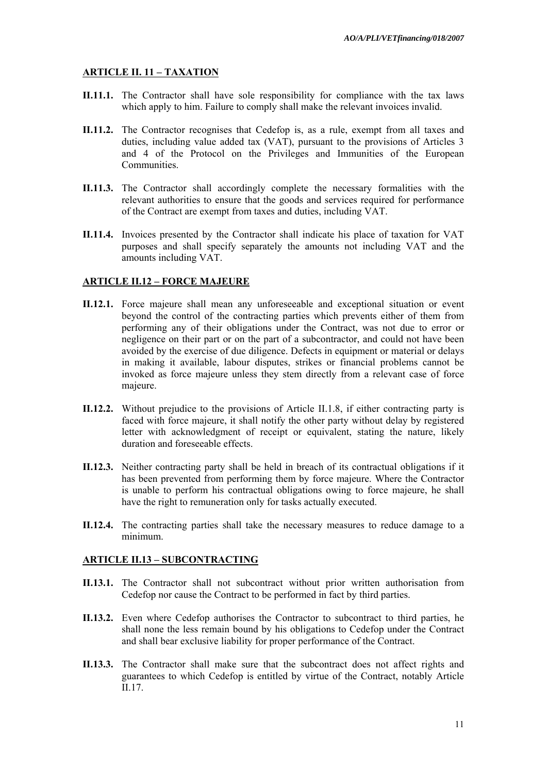## **ARTICLE II. 11 – TAXATION**

- **II.11.1.** The Contractor shall have sole responsibility for compliance with the tax laws which apply to him. Failure to comply shall make the relevant invoices invalid.
- **II.11.2.** The Contractor recognises that Cedefop is, as a rule, exempt from all taxes and duties, including value added tax (VAT), pursuant to the provisions of Articles 3 and 4 of the Protocol on the Privileges and Immunities of the European Communities.
- **II.11.3.** The Contractor shall accordingly complete the necessary formalities with the relevant authorities to ensure that the goods and services required for performance of the Contract are exempt from taxes and duties, including VAT.
- **II.11.4.** Invoices presented by the Contractor shall indicate his place of taxation for VAT purposes and shall specify separately the amounts not including VAT and the amounts including VAT.

## **ARTICLE II.12 – FORCE MAJEURE**

- **II.12.1.** Force majeure shall mean any unforeseeable and exceptional situation or event beyond the control of the contracting parties which prevents either of them from performing any of their obligations under the Contract, was not due to error or negligence on their part or on the part of a subcontractor, and could not have been avoided by the exercise of due diligence. Defects in equipment or material or delays in making it available, labour disputes, strikes or financial problems cannot be invoked as force majeure unless they stem directly from a relevant case of force majeure.
- **II.12.2.** Without prejudice to the provisions of Article II.1.8, if either contracting party is faced with force majeure, it shall notify the other party without delay by registered letter with acknowledgment of receipt or equivalent, stating the nature, likely duration and foreseeable effects.
- **II.12.3.** Neither contracting party shall be held in breach of its contractual obligations if it has been prevented from performing them by force majeure. Where the Contractor is unable to perform his contractual obligations owing to force majeure, he shall have the right to remuneration only for tasks actually executed.
- **II.12.4.** The contracting parties shall take the necessary measures to reduce damage to a minimum.

## **ARTICLE II.13 – SUBCONTRACTING**

- **II.13.1.** The Contractor shall not subcontract without prior written authorisation from Cedefop nor cause the Contract to be performed in fact by third parties.
- **II.13.2.** Even where Cedefop authorises the Contractor to subcontract to third parties, he shall none the less remain bound by his obligations to Cedefop under the Contract and shall bear exclusive liability for proper performance of the Contract.
- **II.13.3.** The Contractor shall make sure that the subcontract does not affect rights and guarantees to which Cedefop is entitled by virtue of the Contract, notably Article II.17.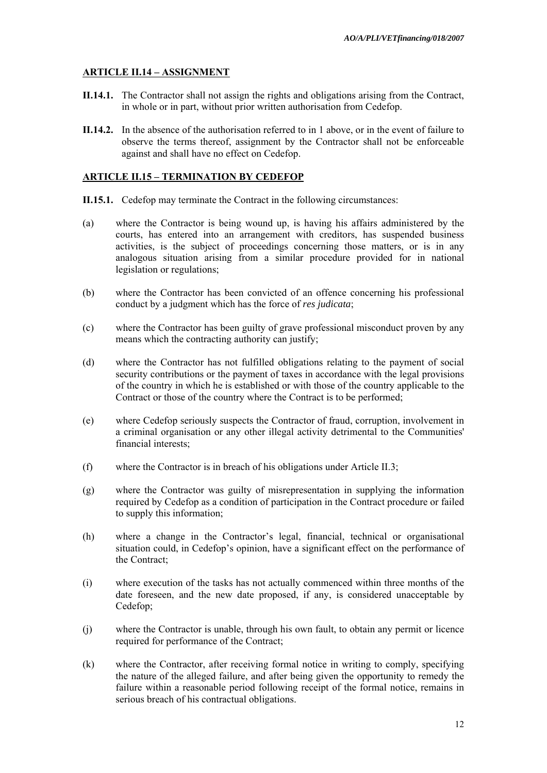## **ARTICLE II.14 – ASSIGNMENT**

- **II.14.1.** The Contractor shall not assign the rights and obligations arising from the Contract, in whole or in part, without prior written authorisation from Cedefop.
- **II.14.2.** In the absence of the authorisation referred to in 1 above, or in the event of failure to observe the terms thereof, assignment by the Contractor shall not be enforceable against and shall have no effect on Cedefop.

#### **ARTICLE II.15 – TERMINATION BY CEDEFOP**

- **II.15.1.** Cedefop may terminate the Contract in the following circumstances:
- (a) where the Contractor is being wound up, is having his affairs administered by the courts, has entered into an arrangement with creditors, has suspended business activities, is the subject of proceedings concerning those matters, or is in any analogous situation arising from a similar procedure provided for in national legislation or regulations;
- (b) where the Contractor has been convicted of an offence concerning his professional conduct by a judgment which has the force of *res judicata*;
- (c) where the Contractor has been guilty of grave professional misconduct proven by any means which the contracting authority can justify;
- (d) where the Contractor has not fulfilled obligations relating to the payment of social security contributions or the payment of taxes in accordance with the legal provisions of the country in which he is established or with those of the country applicable to the Contract or those of the country where the Contract is to be performed;
- (e) where Cedefop seriously suspects the Contractor of fraud, corruption, involvement in a criminal organisation or any other illegal activity detrimental to the Communities' financial interests;
- (f) where the Contractor is in breach of his obligations under Article II.3;
- (g) where the Contractor was guilty of misrepresentation in supplying the information required by Cedefop as a condition of participation in the Contract procedure or failed to supply this information;
- (h) where a change in the Contractor's legal, financial, technical or organisational situation could, in Cedefop's opinion, have a significant effect on the performance of the Contract;
- (i) where execution of the tasks has not actually commenced within three months of the date foreseen, and the new date proposed, if any, is considered unacceptable by Cedefop;
- (j) where the Contractor is unable, through his own fault, to obtain any permit or licence required for performance of the Contract;
- (k) where the Contractor, after receiving formal notice in writing to comply, specifying the nature of the alleged failure, and after being given the opportunity to remedy the failure within a reasonable period following receipt of the formal notice, remains in serious breach of his contractual obligations.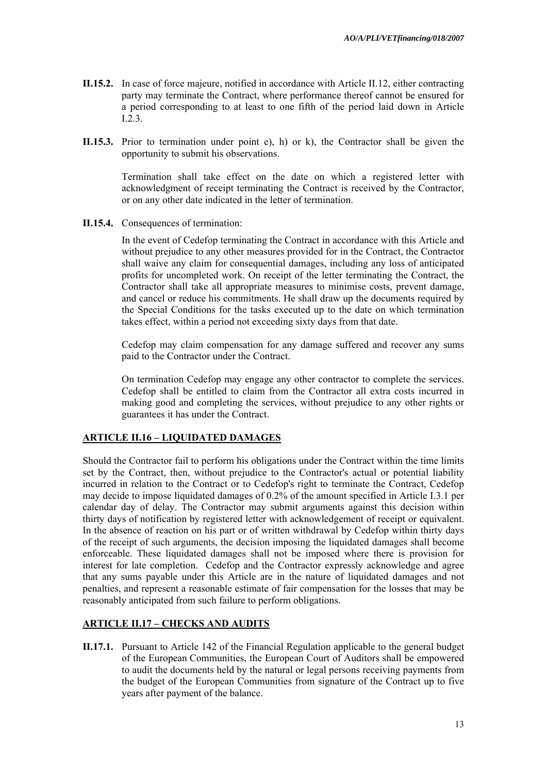- **II.15.2.** In case of force majeure, notified in accordance with Article II.12, either contracting party may terminate the Contract, where performance thereof cannot be ensured for a period corresponding to at least to one fifth of the period laid down in Article I.2.3.
- **II.15.3.** Prior to termination under point e), h) or k), the Contractor shall be given the opportunity to submit his observations.

Termination shall take effect on the date on which a registered letter with acknowledgment of receipt terminating the Contract is received by the Contractor, or on any other date indicated in the letter of termination.

**II.15.4.** Consequences of termination:

In the event of Cedefop terminating the Contract in accordance with this Article and without prejudice to any other measures provided for in the Contract, the Contractor shall waive any claim for consequential damages, including any loss of anticipated profits for uncompleted work. On receipt of the letter terminating the Contract, the Contractor shall take all appropriate measures to minimise costs, prevent damage, and cancel or reduce his commitments. He shall draw up the documents required by the Special Conditions for the tasks executed up to the date on which termination takes effect, within a period not exceeding sixty days from that date.

Cedefop may claim compensation for any damage suffered and recover any sums paid to the Contractor under the Contract.

On termination Cedefop may engage any other contractor to complete the services. Cedefop shall be entitled to claim from the Contractor all extra costs incurred in making good and completing the services, without prejudice to any other rights or guarantees it has under the Contract.

## **ARTICLE II.16 – LIQUIDATED DAMAGES**

Should the Contractor fail to perform his obligations under the Contract within the time limits set by the Contract, then, without prejudice to the Contractor's actual or potential liability incurred in relation to the Contract or to Cedefop's right to terminate the Contract, Cedefop may decide to impose liquidated damages of 0.2% of the amount specified in Article I.3.1 per calendar day of delay. The Contractor may submit arguments against this decision within thirty days of notification by registered letter with acknowledgement of receipt or equivalent. In the absence of reaction on his part or of written withdrawal by Cedefop within thirty days of the receipt of such arguments, the decision imposing the liquidated damages shall become enforceable. These liquidated damages shall not be imposed where there is provision for interest for late completion. Cedefop and the Contractor expressly acknowledge and agree that any sums payable under this Article are in the nature of liquidated damages and not penalties, and represent a reasonable estimate of fair compensation for the losses that may be reasonably anticipated from such failure to perform obligations.

## **ARTICLE II.17 – CHECKS AND AUDITS**

**II.17.1.** Pursuant to Article 142 of the Financial Regulation applicable to the general budget of the European Communities, the European Court of Auditors shall be empowered to audit the documents held by the natural or legal persons receiving payments from the budget of the European Communities from signature of the Contract up to five years after payment of the balance.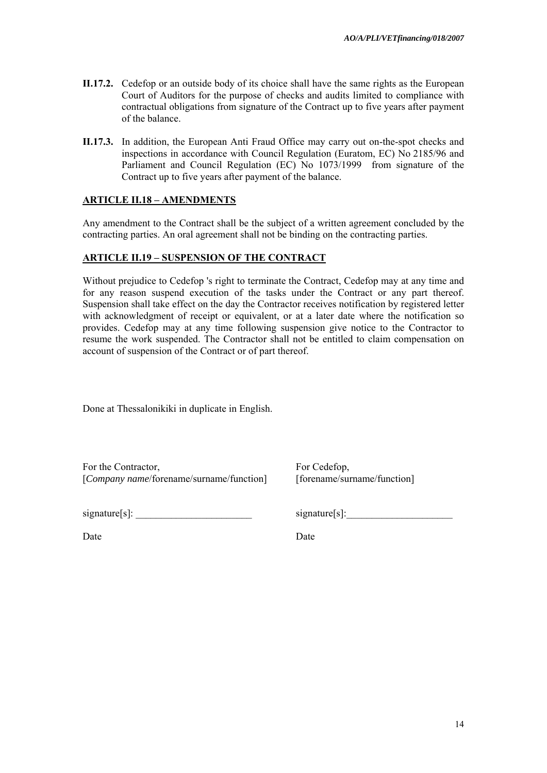- **II.17.2.** Cedefop or an outside body of its choice shall have the same rights as the European Court of Auditors for the purpose of checks and audits limited to compliance with contractual obligations from signature of the Contract up to five years after payment of the balance.
- **II.17.3.** In addition, the European Anti Fraud Office may carry out on-the-spot checks and inspections in accordance with Council Regulation (Euratom, EC) No 2185/96 and Parliament and Council Regulation (EC) No 1073/1999 from signature of the Contract up to five years after payment of the balance.

## **ARTICLE II.18 – AMENDMENTS**

Any amendment to the Contract shall be the subject of a written agreement concluded by the contracting parties. An oral agreement shall not be binding on the contracting parties.

## **ARTICLE II.19 – SUSPENSION OF THE CONTRACT**

Without prejudice to Cedefop 's right to terminate the Contract, Cedefop may at any time and for any reason suspend execution of the tasks under the Contract or any part thereof. Suspension shall take effect on the day the Contractor receives notification by registered letter with acknowledgment of receipt or equivalent, or at a later date where the notification so provides. Cedefop may at any time following suspension give notice to the Contractor to resume the work suspended. The Contractor shall not be entitled to claim compensation on account of suspension of the Contract or of part thereof.

Done at Thessalonikiki in duplicate in English.

For the Contractor, [*Company name*/forename/surname/function]

 $signature[s]$ :

signature[s]:

[forename/surname/function]

Date Date Date

For Cedefop,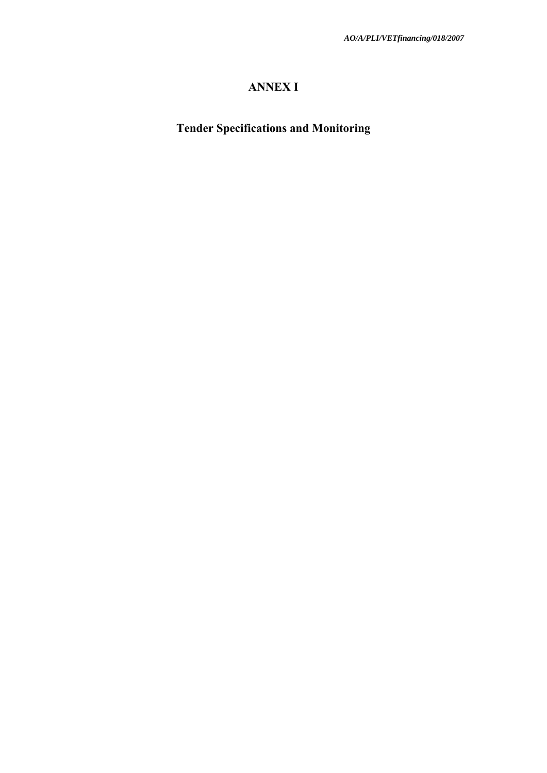# **ANNEX I**

**Tender Specifications and Monitoring**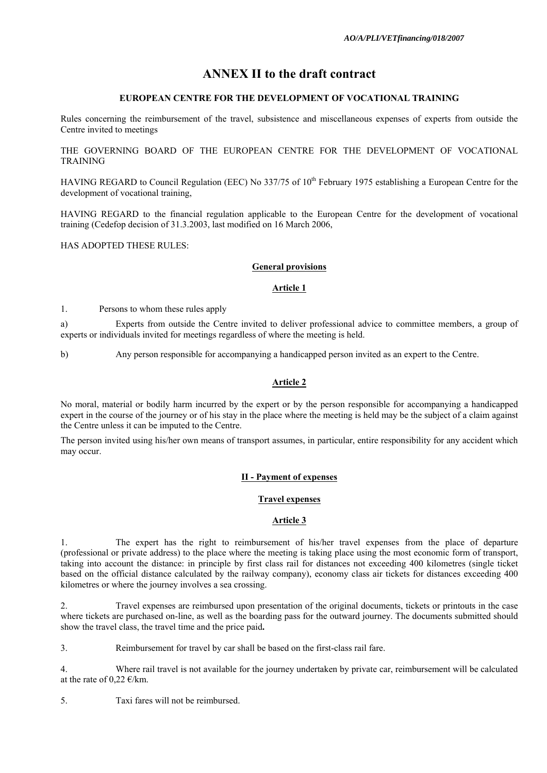# **ANNEX II to the draft contract**

#### **EUROPEAN CENTRE FOR THE DEVELOPMENT OF VOCATIONAL TRAINING**

Rules concerning the reimbursement of the travel, subsistence and miscellaneous expenses of experts from outside the Centre invited to meetings

THE GOVERNING BOARD OF THE EUROPEAN CENTRE FOR THE DEVELOPMENT OF VOCATIONAL TRAINING

HAVING REGARD to Council Regulation (EEC) No 337/75 of 10<sup>th</sup> February 1975 establishing a European Centre for the development of vocational training,

HAVING REGARD to the financial regulation applicable to the European Centre for the development of vocational training (Cedefop decision of 31.3.2003, last modified on 16 March 2006,

HAS ADOPTED THESE RULES:

#### **General provisions**

#### **Article 1**

1. Persons to whom these rules apply

a) Experts from outside the Centre invited to deliver professional advice to committee members, a group of experts or individuals invited for meetings regardless of where the meeting is held.

b) Any person responsible for accompanying a handicapped person invited as an expert to the Centre.

#### **Article 2**

No moral, material or bodily harm incurred by the expert or by the person responsible for accompanying a handicapped expert in the course of the journey or of his stay in the place where the meeting is held may be the subject of a claim against the Centre unless it can be imputed to the Centre.

The person invited using his/her own means of transport assumes, in particular, entire responsibility for any accident which may occur.

## **II - Payment of expenses**

#### **Travel expenses**

#### **Article 3**

1. The expert has the right to reimbursement of his/her travel expenses from the place of departure (professional or private address) to the place where the meeting is taking place using the most economic form of transport, taking into account the distance: in principle by first class rail for distances not exceeding 400 kilometres (single ticket based on the official distance calculated by the railway company), economy class air tickets for distances exceeding 400 kilometres or where the journey involves a sea crossing.

2. Travel expenses are reimbursed upon presentation of the original documents, tickets or printouts in the case where tickets are purchased on-line, as well as the boarding pass for the outward journey. The documents submitted should show the travel class, the travel time and the price paid**.**

3. Reimbursement for travel by car shall be based on the first-class rail fare.

4. Where rail travel is not available for the journey undertaken by private car, reimbursement will be calculated at the rate of 0,22  $\epsilon$ /km.

5. Taxi fares will not be reimbursed.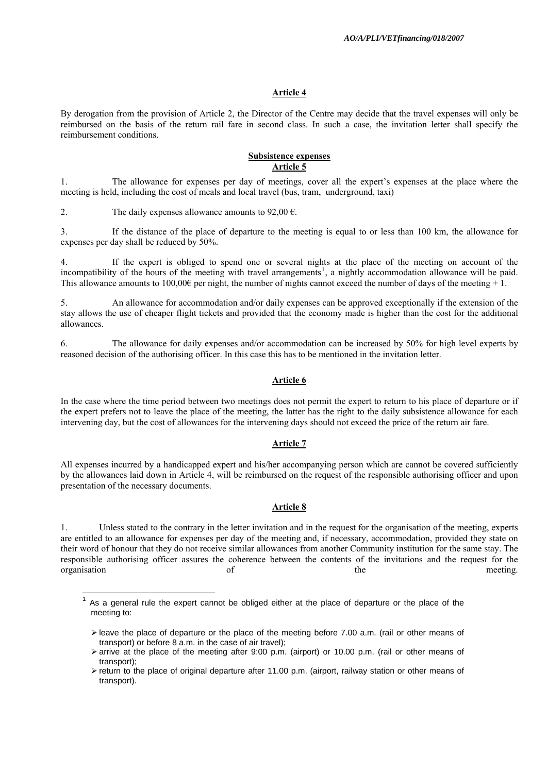#### **Article 4**

By derogation from the provision of Article 2, the Director of the Centre may decide that the travel expenses will only be reimbursed on the basis of the return rail fare in second class. In such a case, the invitation letter shall specify the reimbursement conditions.

#### **Subsistence expenses Article 5**

1. The allowance for expenses per day of meetings, cover all the expert's expenses at the place where the meeting is held, including the cost of meals and local travel (bus, tram, underground, taxi)

2. The daily expenses allowance amounts to  $92,00 \in$ .

<span id="page-16-0"></span> $\overline{\phantom{a}}$ 

3. If the distance of the place of departure to the meeting is equal to or less than 100 km, the allowance for expenses per day shall be reduced by 50%.

4. If the expert is obliged to spend one or several nights at the place of the meeting on account of the incompatibility of the hours of the meeting with travel arrangements<sup>[1](#page-16-0)</sup>, a nightly accommodation allowance will be paid. This allowance amounts to 100,00€ per night, the number of nights cannot exceed the number of days of the meeting  $+1$ .

5. An allowance for accommodation and/or daily expenses can be approved exceptionally if the extension of the stay allows the use of cheaper flight tickets and provided that the economy made is higher than the cost for the additional allowances.

6. The allowance for daily expenses and/or accommodation can be increased by 50% for high level experts by reasoned decision of the authorising officer. In this case this has to be mentioned in the invitation letter.

#### **Article 6**

In the case where the time period between two meetings does not permit the expert to return to his place of departure or if the expert prefers not to leave the place of the meeting, the latter has the right to the daily subsistence allowance for each intervening day, but the cost of allowances for the intervening days should not exceed the price of the return air fare.

#### **Article 7**

All expenses incurred by a handicapped expert and his/her accompanying person which are cannot be covered sufficiently by the allowances laid down in Article 4, will be reimbursed on the request of the responsible authorising officer and upon presentation of the necessary documents.

#### **Article 8**

1. Unless stated to the contrary in the letter invitation and in the request for the organisation of the meeting, experts are entitled to an allowance for expenses per day of the meeting and, if necessary, accommodation, provided they state on their word of honour that they do not receive similar allowances from another Community institution for the same stay. The responsible authorising officer assures the coherence between the contents of the invitations and the request for the organisation of the meeting.

As a general rule the expert cannot be obliged either at the place of departure or the place of the meeting to:

 $\triangleright$  leave the place of departure or the place of the meeting before 7.00 a.m. (rail or other means of transport) or before 8 a.m. in the case of air travel);

 $\ge$  arrive at the place of the meeting after 9:00 p.m. (airport) or 10.00 p.m. (rail or other means of transport);

¾ return to the place of original departure after 11.00 p.m. (airport, railway station or other means of transport).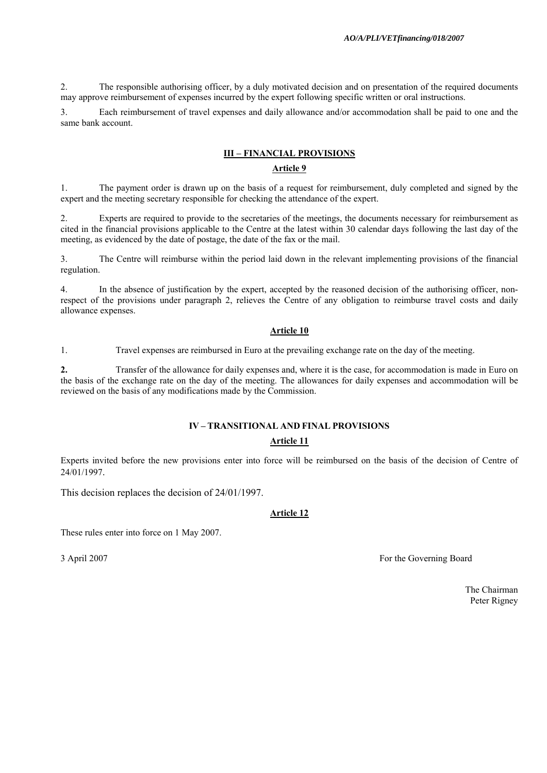2. The responsible authorising officer, by a duly motivated decision and on presentation of the required documents may approve reimbursement of expenses incurred by the expert following specific written or oral instructions.

3. Each reimbursement of travel expenses and daily allowance and/or accommodation shall be paid to one and the same bank account.

#### **III – FINANCIAL PROVISIONS**

#### **Article 9**

1. The payment order is drawn up on the basis of a request for reimbursement, duly completed and signed by the expert and the meeting secretary responsible for checking the attendance of the expert.

2. Experts are required to provide to the secretaries of the meetings, the documents necessary for reimbursement as cited in the financial provisions applicable to the Centre at the latest within 30 calendar days following the last day of the meeting, as evidenced by the date of postage, the date of the fax or the mail.

3. The Centre will reimburse within the period laid down in the relevant implementing provisions of the financial regulation.

4. In the absence of justification by the expert, accepted by the reasoned decision of the authorising officer, nonrespect of the provisions under paragraph 2, relieves the Centre of any obligation to reimburse travel costs and daily allowance expenses.

#### **Article 10**

1. Travel expenses are reimbursed in Euro at the prevailing exchange rate on the day of the meeting.

**2.** Transfer of the allowance for daily expenses and, where it is the case, for accommodation is made in Euro on the basis of the exchange rate on the day of the meeting. The allowances for daily expenses and accommodation will be reviewed on the basis of any modifications made by the Commission.

#### **IV – TRANSITIONAL AND FINAL PROVISIONS**

#### **Article 11**

Experts invited before the new provisions enter into force will be reimbursed on the basis of the decision of Centre of 24/01/1997.

This decision replaces the decision of 24/01/1997.

#### **Article 12**

These rules enter into force on 1 May 2007.

3 April 2007 For the Governing Board

The Chairman Peter Rigney